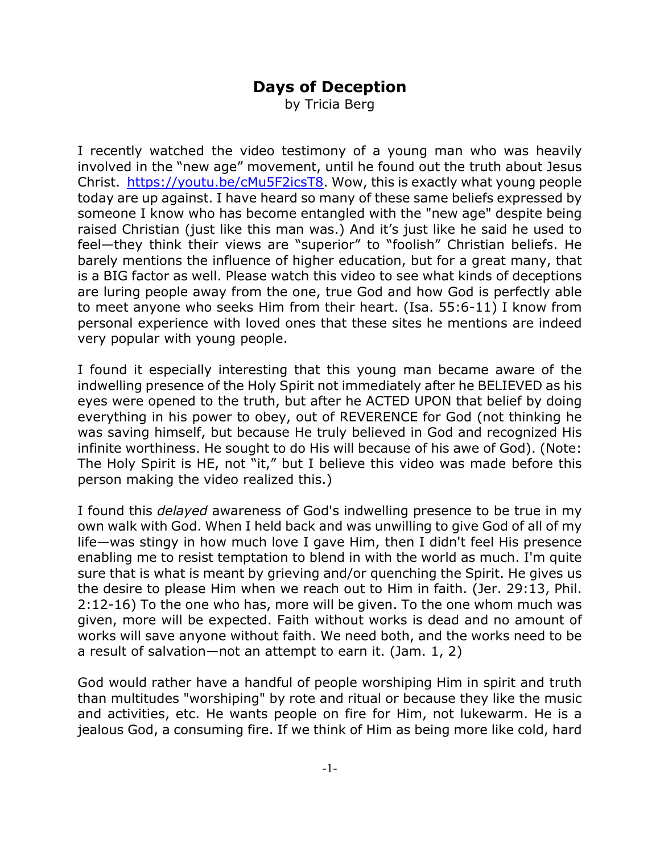## **Days of Deception**

by Tricia Berg

I recently watched the video testimony of a young man who was heavily involved in the "new age" movement, until he found out the truth about Jesus Christ. https://youtu.be/cMu5F2icsT8. Wow, this is exactly what young people today are up against. I have heard so many of these same beliefs expressed by someone I know who has become entangled with the "new age" despite being raised Christian (just like this man was.) And it's just like he said he used to feel—they think their views are "superior" to "foolish" Christian beliefs. He barely mentions the influence of higher education, but for a great many, that is a BIG factor as well. Please watch this video to see what kinds of deceptions are luring people away from the one, true God and how God is perfectly able to meet anyone who seeks Him from their heart. (Isa. 55:6-11) I know from personal experience with loved ones that these sites he mentions are indeed very popular with young people.

I found it especially interesting that this young man became aware of the indwelling presence of the Holy Spirit not immediately after he BELIEVED as his eyes were opened to the truth, but after he ACTED UPON that belief by doing everything in his power to obey, out of REVERENCE for God (not thinking he was saving himself, but because He truly believed in God and recognized His infinite worthiness. He sought to do His will because of his awe of God). (Note: The Holy Spirit is HE, not "it," but I believe this video was made before this person making the video realized this.)

I found this *delayed* awareness of God's indwelling presence to be true in my own walk with God. When I held back and was unwilling to give God of all of my life—was stingy in how much love I gave Him, then I didn't feel His presence enabling me to resist temptation to blend in with the world as much. I'm quite sure that is what is meant by grieving and/or quenching the Spirit. He gives us the desire to please Him when we reach out to Him in faith. (Jer. 29:13, Phil. 2:12-16) To the one who has, more will be given. To the one whom much was given, more will be expected. Faith without works is dead and no amount of works will save anyone without faith. We need both, and the works need to be a result of salvation—not an attempt to earn it. (Jam. 1, 2)

God would rather have a handful of people worshiping Him in spirit and truth than multitudes "worshiping" by rote and ritual or because they like the music and activities, etc. He wants people on fire for Him, not lukewarm. He is a jealous God, a consuming fire. If we think of Him as being more like cold, hard